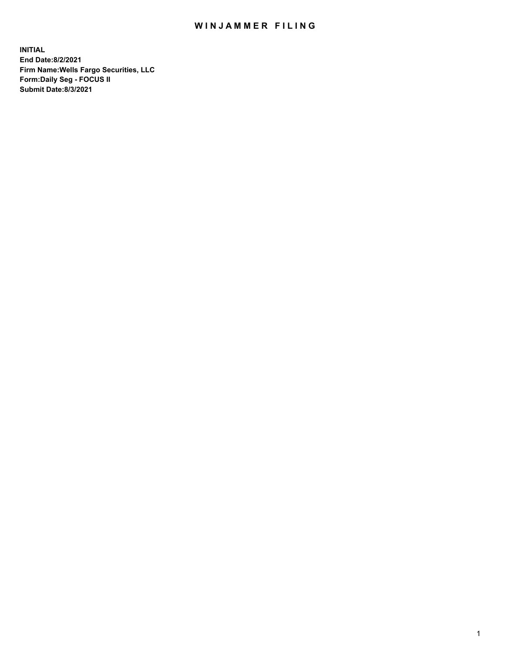## WIN JAMMER FILING

**INITIAL End Date:8/2/2021 Firm Name:Wells Fargo Securities, LLC Form:Daily Seg - FOCUS II Submit Date:8/3/2021**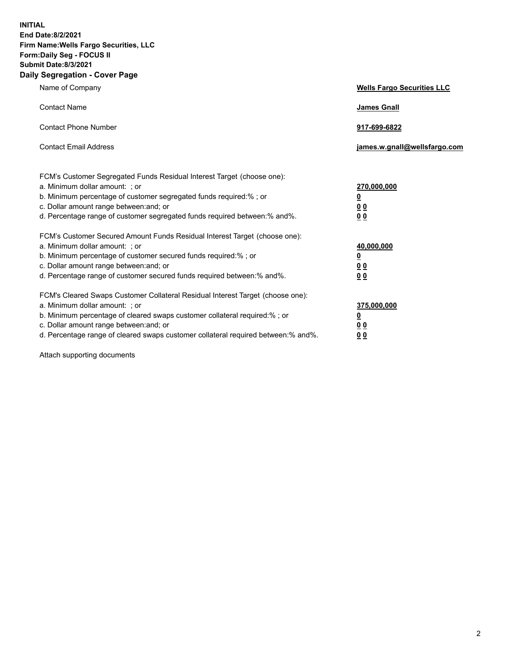**INITIAL End Date:8/2/2021 Firm Name:Wells Fargo Securities, LLC Form:Daily Seg - FOCUS II Submit Date:8/3/2021 Daily Segregation - Cover Page**

| Name of Company                                                                                                                                                                                                                                                                                                                | <b>Wells Fargo Securities LLC</b>                                         |
|--------------------------------------------------------------------------------------------------------------------------------------------------------------------------------------------------------------------------------------------------------------------------------------------------------------------------------|---------------------------------------------------------------------------|
| <b>Contact Name</b>                                                                                                                                                                                                                                                                                                            | <b>James Gnall</b>                                                        |
| <b>Contact Phone Number</b>                                                                                                                                                                                                                                                                                                    | 917-699-6822                                                              |
| <b>Contact Email Address</b>                                                                                                                                                                                                                                                                                                   | james.w.gnall@wellsfargo.com                                              |
| FCM's Customer Segregated Funds Residual Interest Target (choose one):<br>a. Minimum dollar amount: ; or<br>b. Minimum percentage of customer segregated funds required:% ; or<br>c. Dollar amount range between: and; or<br>d. Percentage range of customer segregated funds required between:% and%.                         | 270,000,000<br>$\overline{\mathbf{0}}$<br>0 <sub>0</sub><br>00            |
| FCM's Customer Secured Amount Funds Residual Interest Target (choose one):<br>a. Minimum dollar amount: ; or<br>b. Minimum percentage of customer secured funds required:%; or<br>c. Dollar amount range between: and; or<br>d. Percentage range of customer secured funds required between:% and%.                            | 40,000,000<br>$\overline{\mathbf{0}}$<br>0 <sub>0</sub><br>0 <sub>0</sub> |
| FCM's Cleared Swaps Customer Collateral Residual Interest Target (choose one):<br>a. Minimum dollar amount: ; or<br>b. Minimum percentage of cleared swaps customer collateral required:% ; or<br>c. Dollar amount range between: and; or<br>d. Percentage range of cleared swaps customer collateral required between:% and%. | 375,000,000<br><u>0</u><br>00<br>00                                       |

Attach supporting documents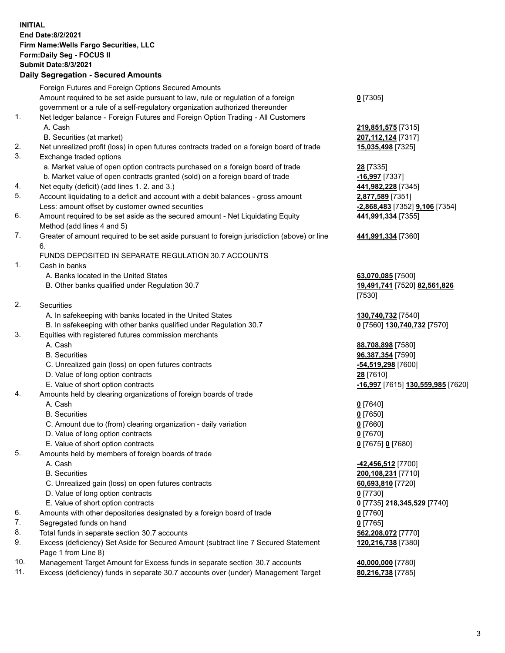**INITIAL End Date:8/2/2021 Firm Name:Wells Fargo Securities, LLC Form:Daily Seg - FOCUS II Submit Date:8/3/2021 Daily Segregation - Secured Amounts** Foreign Futures and Foreign Options Secured Amounts

> Amount required to be set aside pursuant to law, rule or regulation of a foreign government or a rule of a self-regulatory organization authorized thereunder

- 1. Net ledger balance Foreign Futures and Foreign Option Trading All Customers A. Cash **219,851,575** [7315]
	- B. Securities (at market) **207,112,124** [7317]
- 2. Net unrealized profit (loss) in open futures contracts traded on a foreign board of trade **15,035,498** [7325]
- 3. Exchange traded options
	- a. Market value of open option contracts purchased on a foreign board of trade **28** [7335]
	- b. Market value of open contracts granted (sold) on a foreign board of trade **-16,997** [7337]
- 4. Net equity (deficit) (add lines 1. 2. and 3.) **441,982,228** [7345]
- 5. Account liquidating to a deficit and account with a debit balances gross amount **2,877,589** [7351] Less: amount offset by customer owned securities **-2,868,483** [7352] **9,106** [7354]
- 6. Amount required to be set aside as the secured amount Net Liquidating Equity Method (add lines 4 and 5)
- 7. Greater of amount required to be set aside pursuant to foreign jurisdiction (above) or line 6.

## FUNDS DEPOSITED IN SEPARATE REGULATION 30.7 ACCOUNTS

- 1. Cash in banks
	- A. Banks located in the United States **63,070,085** [7500]
	- B. Other banks qualified under Regulation 30.7 **19,491,741** [7520] **82,561,826**
- 2. Securities
	- A. In safekeeping with banks located in the United States **130,740,732** [7540]
- B. In safekeeping with other banks qualified under Regulation 30.7 **0** [7560] **130,740,732** [7570]
- 3. Equities with registered futures commission merchants
	-
	-
	- C. Unrealized gain (loss) on open futures contracts **-54,519,298** [7600]
	- D. Value of long option contracts **28** [7610]
	-
- 4. Amounts held by clearing organizations of foreign boards of trade
	- A. Cash **0** [7640]
	- B. Securities **0** [7650]
	- C. Amount due to (from) clearing organization daily variation **0** [7660]
	- D. Value of long option contracts **0** [7670]
	- E. Value of short option contracts **0** [7675] **0** [7680]
- 5. Amounts held by members of foreign boards of trade
	-
	-
	- C. Unrealized gain (loss) on open futures contracts **60,693,810** [7720]
	- D. Value of long option contracts **0** [7730]
	- E. Value of short option contracts **0** [7735] **218,345,529** [7740]
- 6. Amounts with other depositories designated by a foreign board of trade **0** [7760]
- 7. Segregated funds on hand **0** [7765]
- 8. Total funds in separate section 30.7 accounts **562,208,072** [7770]
- 9. Excess (deficiency) Set Aside for Secured Amount (subtract line 7 Secured Statement Page 1 from Line 8)
- 10. Management Target Amount for Excess funds in separate section 30.7 accounts **40,000,000** [7780]
- 11. Excess (deficiency) funds in separate 30.7 accounts over (under) Management Target **80,216,738** [7785]

**0** [7305]

**441,991,334** [7355]

## **441,991,334** [7360]

[7530]

 A. Cash **88,708,898** [7580] B. Securities **96,387,354** [7590] E. Value of short option contracts **-16,997** [7615] **130,559,985** [7620]

 A. Cash **-42,456,512** [7700] B. Securities **200,108,231** [7710] **120,216,738** [7380]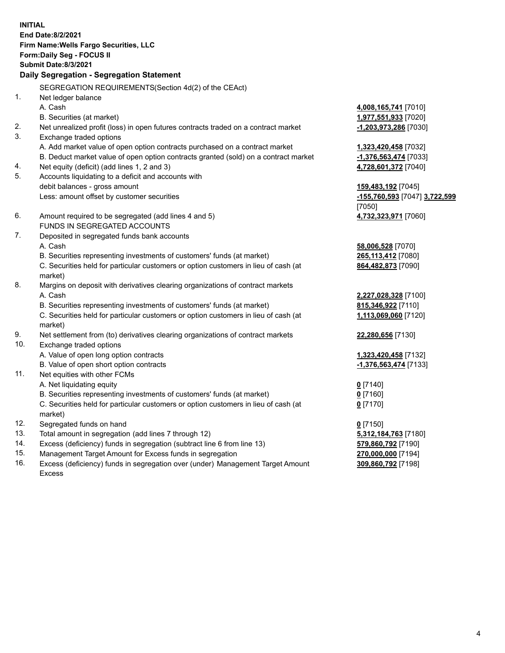**INITIAL End Date:8/2/2021 Firm Name:Wells Fargo Securities, LLC Form:Daily Seg - FOCUS II Submit Date:8/3/2021 Daily Segregation - Segregation Statement** SEGREGATION REQUIREMENTS(Section 4d(2) of the CEAct) 1. Net ledger balance A. Cash **4,008,165,741** [7010] B. Securities (at market) **1,977,551,933** [7020] 2. Net unrealized profit (loss) in open futures contracts traded on a contract market **-1,203,973,286** [7030] 3. Exchange traded options A. Add market value of open option contracts purchased on a contract market **1,323,420,458** [7032] B. Deduct market value of open option contracts granted (sold) on a contract market **-1,376,563,474** [7033] 4. Net equity (deficit) (add lines 1, 2 and 3) **4,728,601,372** [7040] 5. Accounts liquidating to a deficit and accounts with debit balances - gross amount **159,483,192** [7045] Less: amount offset by customer securities **-155,760,593** [7047] **3,722,599** [7050] 6. Amount required to be segregated (add lines 4 and 5) **4,732,323,971** [7060] FUNDS IN SEGREGATED ACCOUNTS 7. Deposited in segregated funds bank accounts A. Cash **58,006,528** [7070] B. Securities representing investments of customers' funds (at market) **265,113,412** [7080] C. Securities held for particular customers or option customers in lieu of cash (at market) **864,482,873** [7090] 8. Margins on deposit with derivatives clearing organizations of contract markets A. Cash **2,227,028,328** [7100] B. Securities representing investments of customers' funds (at market) **815,346,922** [7110] C. Securities held for particular customers or option customers in lieu of cash (at market) **1,113,069,060** [7120] 9. Net settlement from (to) derivatives clearing organizations of contract markets **22,280,656** [7130] 10. Exchange traded options A. Value of open long option contracts **1,323,420,458** [7132] B. Value of open short option contracts **and the set of our of the set of our of the set of our of the set of the set of the set of the set of the set of the set of the set of the set of the set of the set of the set of th** 11. Net equities with other FCMs A. Net liquidating equity **0** [7140] B. Securities representing investments of customers' funds (at market) **0** [7160] C. Securities held for particular customers or option customers in lieu of cash (at market) **0** [7170] 12. Segregated funds on hand **0** [7150] 13. Total amount in segregation (add lines 7 through 12) **5,312,184,763** [7180] 14. Excess (deficiency) funds in segregation (subtract line 6 from line 13) **579,860,792** [7190] 15. Management Target Amount for Excess funds in segregation **270,000,000** [7194] **309,860,792** [7198]

16. Excess (deficiency) funds in segregation over (under) Management Target Amount Excess